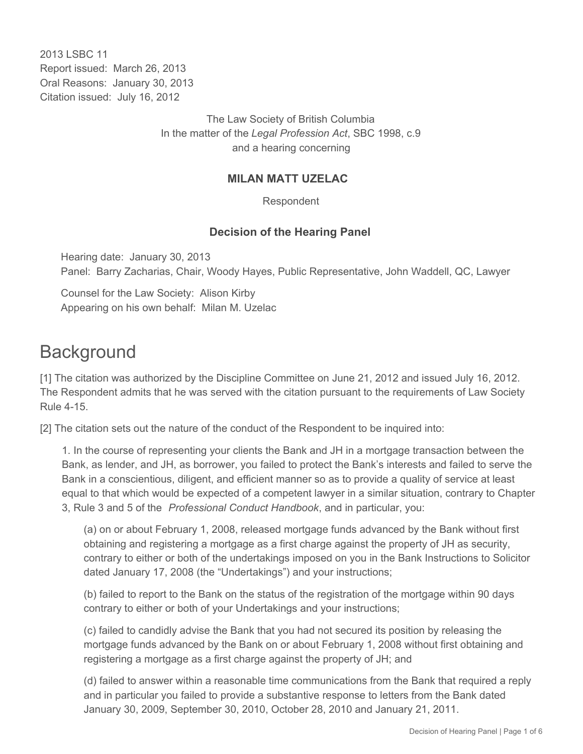2013 LSBC 11 Report issued: March 26, 2013 Oral Reasons: January 30, 2013 Citation issued: July 16, 2012

> The Law Society of British Columbia In the matter of the *Legal Profession Act*, SBC 1998, c.9 and a hearing concerning

#### **MILAN MATT UZELAC**

Respondent

#### **Decision of the Hearing Panel**

Hearing date: January 30, 2013 Panel: Barry Zacharias, Chair, Woody Hayes, Public Representative, John Waddell, QC, Lawyer

Counsel for the Law Society: Alison Kirby Appearing on his own behalf: Milan M. Uzelac

### **Background**

[1] The citation was authorized by the Discipline Committee on June 21, 2012 and issued July 16, 2012. The Respondent admits that he was served with the citation pursuant to the requirements of Law Society Rule 4-15.

[2] The citation sets out the nature of the conduct of the Respondent to be inquired into:

1. In the course of representing your clients the Bank and JH in a mortgage transaction between the Bank, as lender, and JH, as borrower, you failed to protect the Bank's interests and failed to serve the Bank in a conscientious, diligent, and efficient manner so as to provide a quality of service at least equal to that which would be expected of a competent lawyer in a similar situation, contrary to Chapter 3, Rule 3 and 5 of the *Professional Conduct Handbook*, and in particular, you:

(a) on or about February 1, 2008, released mortgage funds advanced by the Bank without first obtaining and registering a mortgage as a first charge against the property of JH as security, contrary to either or both of the undertakings imposed on you in the Bank Instructions to Solicitor dated January 17, 2008 (the "Undertakings") and your instructions;

(b) failed to report to the Bank on the status of the registration of the mortgage within 90 days contrary to either or both of your Undertakings and your instructions;

(c) failed to candidly advise the Bank that you had not secured its position by releasing the mortgage funds advanced by the Bank on or about February 1, 2008 without first obtaining and registering a mortgage as a first charge against the property of JH; and

(d) failed to answer within a reasonable time communications from the Bank that required a reply and in particular you failed to provide a substantive response to letters from the Bank dated January 30, 2009, September 30, 2010, October 28, 2010 and January 21, 2011.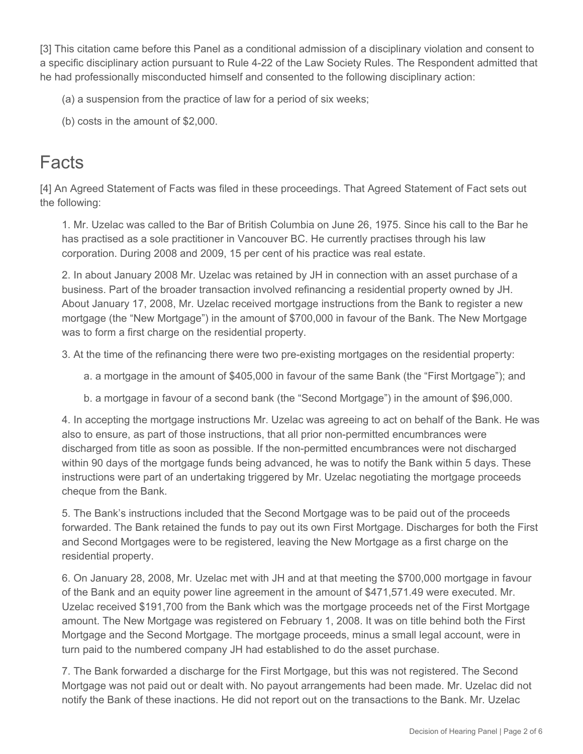[3] This citation came before this Panel as a conditional admission of a disciplinary violation and consent to a specific disciplinary action pursuant to Rule 4-22 of the Law Society Rules. The Respondent admitted that he had professionally misconducted himself and consented to the following disciplinary action:

- (a) a suspension from the practice of law for a period of six weeks;
- (b) costs in the amount of \$2,000.

## **Facts**

[4] An Agreed Statement of Facts was filed in these proceedings. That Agreed Statement of Fact sets out the following:

1. Mr. Uzelac was called to the Bar of British Columbia on June 26, 1975. Since his call to the Bar he has practised as a sole practitioner in Vancouver BC. He currently practises through his law corporation. During 2008 and 2009, 15 per cent of his practice was real estate.

2. In about January 2008 Mr. Uzelac was retained by JH in connection with an asset purchase of a business. Part of the broader transaction involved refinancing a residential property owned by JH. About January 17, 2008, Mr. Uzelac received mortgage instructions from the Bank to register a new mortgage (the "New Mortgage") in the amount of \$700,000 in favour of the Bank. The New Mortgage was to form a first charge on the residential property.

3. At the time of the refinancing there were two pre-existing mortgages on the residential property:

- a. a mortgage in the amount of \$405,000 in favour of the same Bank (the "First Mortgage"); and
- b. a mortgage in favour of a second bank (the "Second Mortgage") in the amount of \$96,000.

4. In accepting the mortgage instructions Mr. Uzelac was agreeing to act on behalf of the Bank. He was also to ensure, as part of those instructions, that all prior non-permitted encumbrances were discharged from title as soon as possible. If the non-permitted encumbrances were not discharged within 90 days of the mortgage funds being advanced, he was to notify the Bank within 5 days. These instructions were part of an undertaking triggered by Mr. Uzelac negotiating the mortgage proceeds cheque from the Bank.

5. The Bank's instructions included that the Second Mortgage was to be paid out of the proceeds forwarded. The Bank retained the funds to pay out its own First Mortgage. Discharges for both the First and Second Mortgages were to be registered, leaving the New Mortgage as a first charge on the residential property.

6. On January 28, 2008, Mr. Uzelac met with JH and at that meeting the \$700,000 mortgage in favour of the Bank and an equity power line agreement in the amount of \$471,571.49 were executed. Mr. Uzelac received \$191,700 from the Bank which was the mortgage proceeds net of the First Mortgage amount. The New Mortgage was registered on February 1, 2008. It was on title behind both the First Mortgage and the Second Mortgage. The mortgage proceeds, minus a small legal account, were in turn paid to the numbered company JH had established to do the asset purchase.

7. The Bank forwarded a discharge for the First Mortgage, but this was not registered. The Second Mortgage was not paid out or dealt with. No payout arrangements had been made. Mr. Uzelac did not notify the Bank of these inactions. He did not report out on the transactions to the Bank. Mr. Uzelac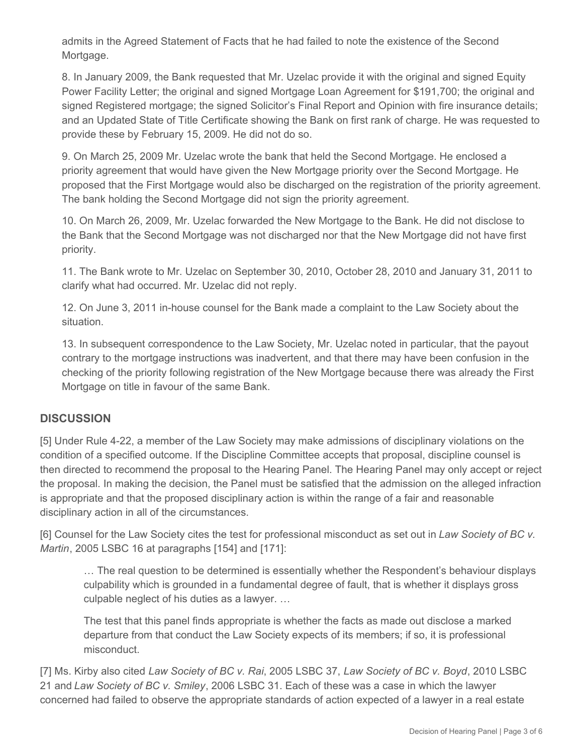admits in the Agreed Statement of Facts that he had failed to note the existence of the Second Mortgage.

8. In January 2009, the Bank requested that Mr. Uzelac provide it with the original and signed Equity Power Facility Letter; the original and signed Mortgage Loan Agreement for \$191,700; the original and signed Registered mortgage; the signed Solicitor's Final Report and Opinion with fire insurance details; and an Updated State of Title Certificate showing the Bank on first rank of charge. He was requested to provide these by February 15, 2009. He did not do so.

9. On March 25, 2009 Mr. Uzelac wrote the bank that held the Second Mortgage. He enclosed a priority agreement that would have given the New Mortgage priority over the Second Mortgage. He proposed that the First Mortgage would also be discharged on the registration of the priority agreement. The bank holding the Second Mortgage did not sign the priority agreement.

10. On March 26, 2009, Mr. Uzelac forwarded the New Mortgage to the Bank. He did not disclose to the Bank that the Second Mortgage was not discharged nor that the New Mortgage did not have first priority.

11. The Bank wrote to Mr. Uzelac on September 30, 2010, October 28, 2010 and January 31, 2011 to clarify what had occurred. Mr. Uzelac did not reply.

12. On June 3, 2011 in-house counsel for the Bank made a complaint to the Law Society about the situation.

13. In subsequent correspondence to the Law Society, Mr. Uzelac noted in particular, that the payout contrary to the mortgage instructions was inadvertent, and that there may have been confusion in the checking of the priority following registration of the New Mortgage because there was already the First Mortgage on title in favour of the same Bank.

#### **DISCUSSION**

[5] Under Rule 4-22, a member of the Law Society may make admissions of disciplinary violations on the condition of a specified outcome. If the Discipline Committee accepts that proposal, discipline counsel is then directed to recommend the proposal to the Hearing Panel. The Hearing Panel may only accept or reject the proposal. In making the decision, the Panel must be satisfied that the admission on the alleged infraction is appropriate and that the proposed disciplinary action is within the range of a fair and reasonable disciplinary action in all of the circumstances.

[6] Counsel for the Law Society cites the test for professional misconduct as set out in *Law Society of BC v. Martin*, 2005 LSBC 16 at paragraphs [154] and [171]:

… The real question to be determined is essentially whether the Respondent's behaviour displays culpability which is grounded in a fundamental degree of fault, that is whether it displays gross culpable neglect of his duties as a lawyer. …

The test that this panel finds appropriate is whether the facts as made out disclose a marked departure from that conduct the Law Society expects of its members; if so, it is professional misconduct.

[7] Ms. Kirby also cited *Law Society of BC v. Rai*, 2005 LSBC 37, *Law Society of BC v. Boyd*, 2010 LSBC 21 and *Law Society of BC v. Smiley*, 2006 LSBC 31. Each of these was a case in which the lawyer concerned had failed to observe the appropriate standards of action expected of a lawyer in a real estate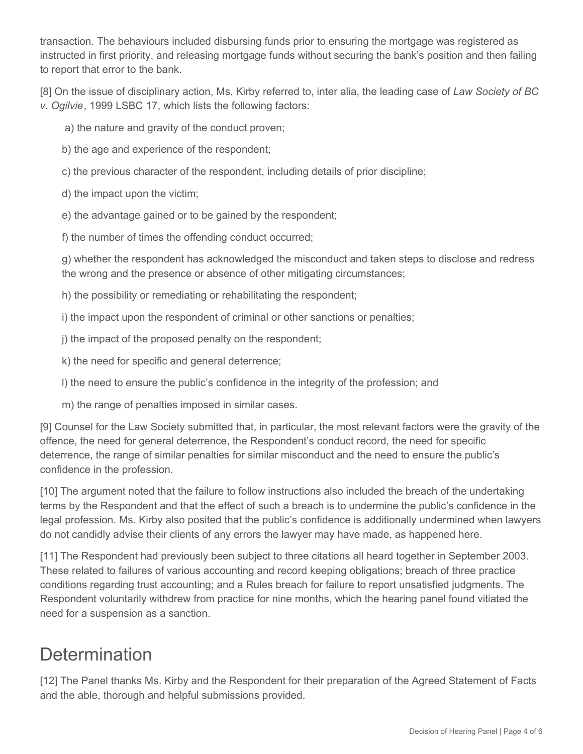transaction. The behaviours included disbursing funds prior to ensuring the mortgage was registered as instructed in first priority, and releasing mortgage funds without securing the bank's position and then failing to report that error to the bank.

[8] On the issue of disciplinary action, Ms. Kirby referred to, inter alia, the leading case of *Law Society of BC v. Ogilvie*, 1999 LSBC 17, which lists the following factors:

a) the nature and gravity of the conduct proven;

- b) the age and experience of the respondent;
- c) the previous character of the respondent, including details of prior discipline;
- d) the impact upon the victim;
- e) the advantage gained or to be gained by the respondent;

f) the number of times the offending conduct occurred;

g) whether the respondent has acknowledged the misconduct and taken steps to disclose and redress the wrong and the presence or absence of other mitigating circumstances;

h) the possibility or remediating or rehabilitating the respondent;

i) the impact upon the respondent of criminal or other sanctions or penalties;

j) the impact of the proposed penalty on the respondent;

k) the need for specific and general deterrence;

- l) the need to ensure the public's confidence in the integrity of the profession; and
- m) the range of penalties imposed in similar cases.

[9] Counsel for the Law Society submitted that, in particular, the most relevant factors were the gravity of the offence, the need for general deterrence, the Respondent's conduct record, the need for specific deterrence, the range of similar penalties for similar misconduct and the need to ensure the public's confidence in the profession.

[10] The argument noted that the failure to follow instructions also included the breach of the undertaking terms by the Respondent and that the effect of such a breach is to undermine the public's confidence in the legal profession. Ms. Kirby also posited that the public's confidence is additionally undermined when lawyers do not candidly advise their clients of any errors the lawyer may have made, as happened here.

[11] The Respondent had previously been subject to three citations all heard together in September 2003. These related to failures of various accounting and record keeping obligations; breach of three practice conditions regarding trust accounting; and a Rules breach for failure to report unsatisfied judgments. The Respondent voluntarily withdrew from practice for nine months, which the hearing panel found vitiated the need for a suspension as a sanction.

## **Determination**

[12] The Panel thanks Ms. Kirby and the Respondent for their preparation of the Agreed Statement of Facts and the able, thorough and helpful submissions provided.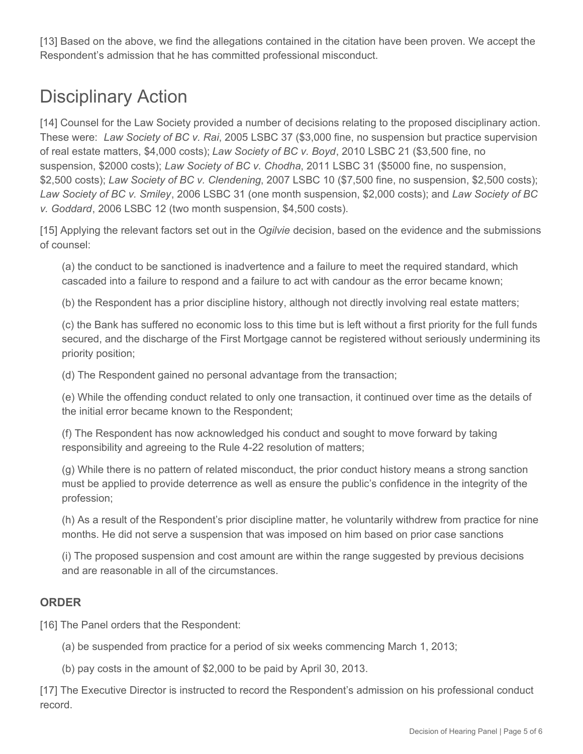[13] Based on the above, we find the allegations contained in the citation have been proven. We accept the Respondent's admission that he has committed professional misconduct.

# Disciplinary Action

[14] Counsel for the Law Society provided a number of decisions relating to the proposed disciplinary action. These were: *Law Society of BC v. Rai*, 2005 LSBC 37 (\$3,000 fine, no suspension but practice supervision of real estate matters, \$4,000 costs); *Law Society of BC v. Boyd*, 2010 LSBC 21 (\$3,500 fine, no suspension, \$2000 costs); *Law Society of BC v. Chodha*, 2011 LSBC 31 (\$5000 fine, no suspension, \$2,500 costs); *Law Society of BC v. Clendening*, 2007 LSBC 10 (\$7,500 fine, no suspension, \$2,500 costs); *Law Society of BC v. Smiley*, 2006 LSBC 31 (one month suspension, \$2,000 costs); and *Law Society of BC v. Goddard*, 2006 LSBC 12 (two month suspension, \$4,500 costs).

[15] Applying the relevant factors set out in the *Ogilvie* decision, based on the evidence and the submissions of counsel:

(a) the conduct to be sanctioned is inadvertence and a failure to meet the required standard, which cascaded into a failure to respond and a failure to act with candour as the error became known;

(b) the Respondent has a prior discipline history, although not directly involving real estate matters;

(c) the Bank has suffered no economic loss to this time but is left without a first priority for the full funds secured, and the discharge of the First Mortgage cannot be registered without seriously undermining its priority position;

(d) The Respondent gained no personal advantage from the transaction;

(e) While the offending conduct related to only one transaction, it continued over time as the details of the initial error became known to the Respondent;

(f) The Respondent has now acknowledged his conduct and sought to move forward by taking responsibility and agreeing to the Rule 4-22 resolution of matters;

(g) While there is no pattern of related misconduct, the prior conduct history means a strong sanction must be applied to provide deterrence as well as ensure the public's confidence in the integrity of the profession;

(h) As a result of the Respondent's prior discipline matter, he voluntarily withdrew from practice for nine months. He did not serve a suspension that was imposed on him based on prior case sanctions

(i) The proposed suspension and cost amount are within the range suggested by previous decisions and are reasonable in all of the circumstances.

### **ORDER**

[16] The Panel orders that the Respondent:

(a) be suspended from practice for a period of six weeks commencing March 1, 2013;

(b) pay costs in the amount of \$2,000 to be paid by April 30, 2013.

[17] The Executive Director is instructed to record the Respondent's admission on his professional conduct record.